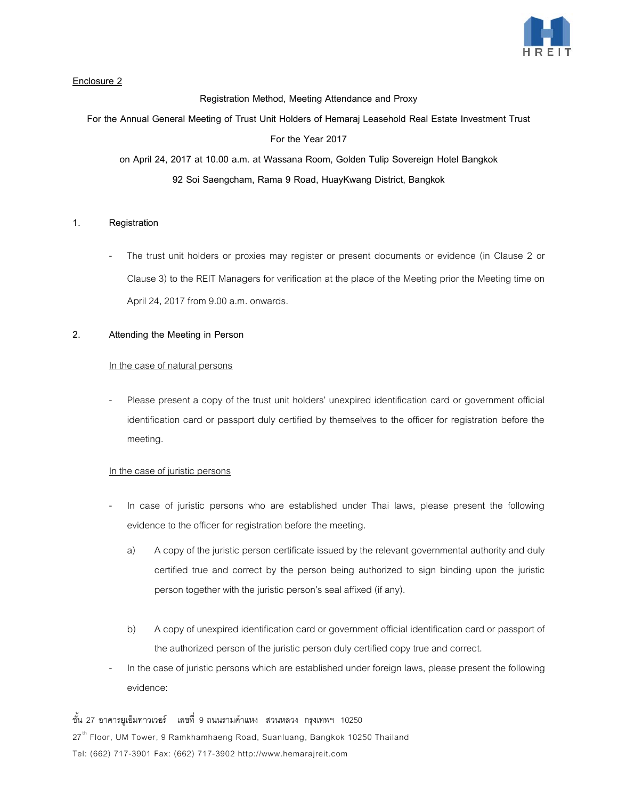

# **Enclosure 2**

**Registration Method, Meeting Attendance and Proxy**

**For the Annual General Meeting of Trust Unit Holders of Hemaraj Leasehold Real Estate Investment Trust** 

**For the Year 2017**

**on April 24, 2017 at 10.00 a.m. at Wassana Room, Golden Tulip Sovereign Hotel Bangkok 92 Soi Saengcham, Rama 9 Road, HuayKwang District, Bangkok**

## **1. Registration**

The trust unit holders or proxies may register or present documents or evidence (in Clause 2 or Clause 3) to the REIT Managers for verification at the place of the Meeting prior the Meeting time on April 24, 2017 from 9.00 a.m. onwards.

## **2. Attending the Meeting in Person**

### In the case of natural persons

- Please present a copy of the trust unit holders' unexpired identification card or government official identification card or passport duly certified by themselves to the officer for registration before the meeting.

## In the case of juristic persons

- In case of juristic persons who are established under Thai laws, please present the following evidence to the officer for registration before the meeting.
	- a) A copy of the juristic person certificate issued by the relevant governmental authority and duly certified true and correct by the person being authorized to sign binding upon the juristic person together with the juristic person's seal affixed (if any).
	- b) A copy of unexpired identification card or government official identification card or passport of the authorized person of the juristic person duly certified copy true and correct.
- In the case of juristic persons which are established under foreign laws, please present the following evidence:

ชั้น 27 อาคารยูเอ็มทาวเวอร์ เลขที่ 9 ถนนรามคําแหง สวนหลวง กรุงเทพฯ 10250 27<sup>th</sup> Floor, UM Tower, 9 Ramkhamhaeng Road, Suanluang, Bangkok 10250 Thailand Tel: (662) 717-3901 Fax: (662) 717-3902 http://www.hemarajreit.com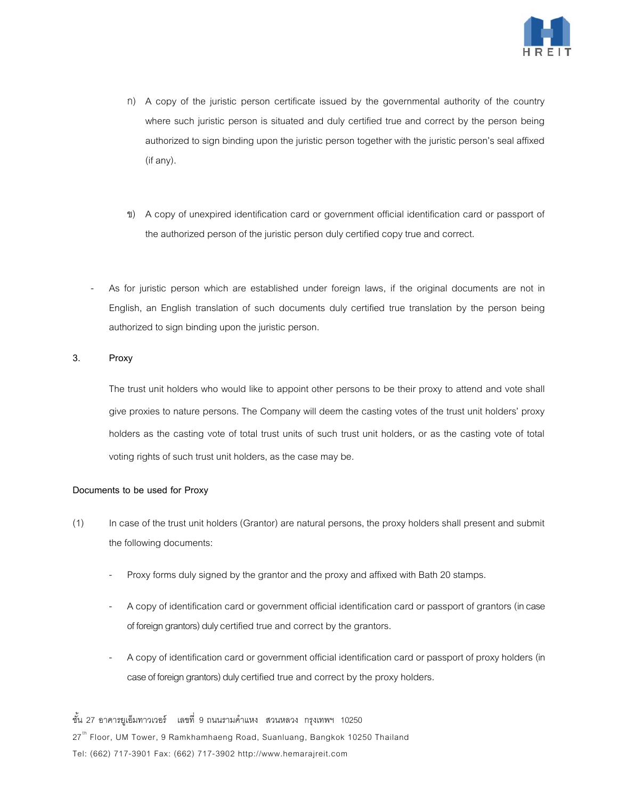

- ก) A copy of the juristic person certificate issued by the governmental authority of the country where such juristic person is situated and duly certified true and correct by the person being authorized to sign binding upon the juristic person together with the juristic person's seal affixed (if any).
- ข) A copy of unexpired identification card or government official identification card or passport of the authorized person of the juristic person duly certified copy true and correct.
- As for juristic person which are established under foreign laws, if the original documents are not in English, an English translation of such documents duly certified true translation by the person being authorized to sign binding upon the juristic person.

## **3. Proxy**

The trust unit holders who would like to appoint other persons to be their proxy to attend and vote shall give proxies to nature persons. The Company will deem the casting votes of the trust unit holders' proxy holders as the casting vote of total trust units of such trust unit holders, or as the casting vote of total voting rights of such trust unit holders, as the case may be.

#### **Documents to be used for Proxy**

- (1) In case of the trust unit holders (Grantor) are natural persons, the proxy holders shall present and submit the following documents:
	- Proxy forms duly signed by the grantor and the proxy and affixed with Bath 20 stamps.
	- A copy of identification card or government official identification card or passport of grantors (in case of foreign grantors) duly certified true and correct by the grantors.
	- A copy of identification card or government official identification card or passport of proxy holders (in case of foreign grantors) duly certified true and correct by the proxy holders.

ชั้น 27 อาคารยูเอ็มทาวเวอร์ เลขที่ 9 ถนนรามคําแหง สวนหลวง กรุงเทพฯ 10250 27<sup>th</sup> Floor, UM Tower, 9 Ramkhamhaeng Road, Suanluang, Bangkok 10250 Thailand Tel: (662) 717-3901 Fax: (662) 717-3902 http://www.hemarajreit.com